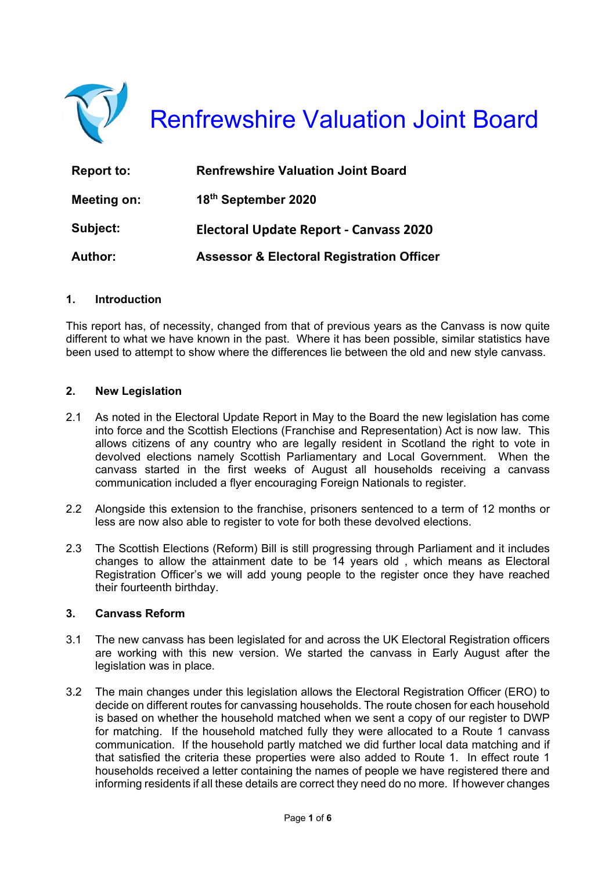

| <b>Report to:</b> | <b>Renfrewshire Valuation Joint Board</b>            |  |
|-------------------|------------------------------------------------------|--|
| Meeting on:       | 18th September 2020                                  |  |
| Subject:          | <b>Electoral Update Report - Canvass 2020</b>        |  |
| <b>Author:</b>    | <b>Assessor &amp; Electoral Registration Officer</b> |  |

#### **1. Introduction**

This report has, of necessity, changed from that of previous years as the Canvass is now quite different to what we have known in the past. Where it has been possible, similar statistics have been used to attempt to show where the differences lie between the old and new style canvass.

#### **2. New Legislation**

- 2.1 As noted in the Electoral Update Report in May to the Board the new legislation has come into force and the Scottish Elections (Franchise and Representation) Act is now law. This allows citizens of any country who are legally resident in Scotland the right to vote in devolved elections namely Scottish Parliamentary and Local Government. When the canvass started in the first weeks of August all households receiving a canvass communication included a flyer encouraging Foreign Nationals to register.
- 2.2 Alongside this extension to the franchise, prisoners sentenced to a term of 12 months or less are now also able to register to vote for both these devolved elections.
- 2.3 The Scottish Elections (Reform) Bill is still progressing through Parliament and it includes changes to allow the attainment date to be 14 years old , which means as Electoral Registration Officer's we will add young people to the register once they have reached their fourteenth birthday.

#### **3. Canvass Reform**

- 3.1 The new canvass has been legislated for and across the UK Electoral Registration officers are working with this new version. We started the canvass in Early August after the legislation was in place.
- 3.2 The main changes under this legislation allows the Electoral Registration Officer (ERO) to decide on different routes for canvassing households. The route chosen for each household is based on whether the household matched when we sent a copy of our register to DWP for matching. If the household matched fully they were allocated to a Route 1 canvass communication. If the household partly matched we did further local data matching and if that satisfied the criteria these properties were also added to Route 1. In effect route 1 households received a letter containing the names of people we have registered there and informing residents if all these details are correct they need do no more. If however changes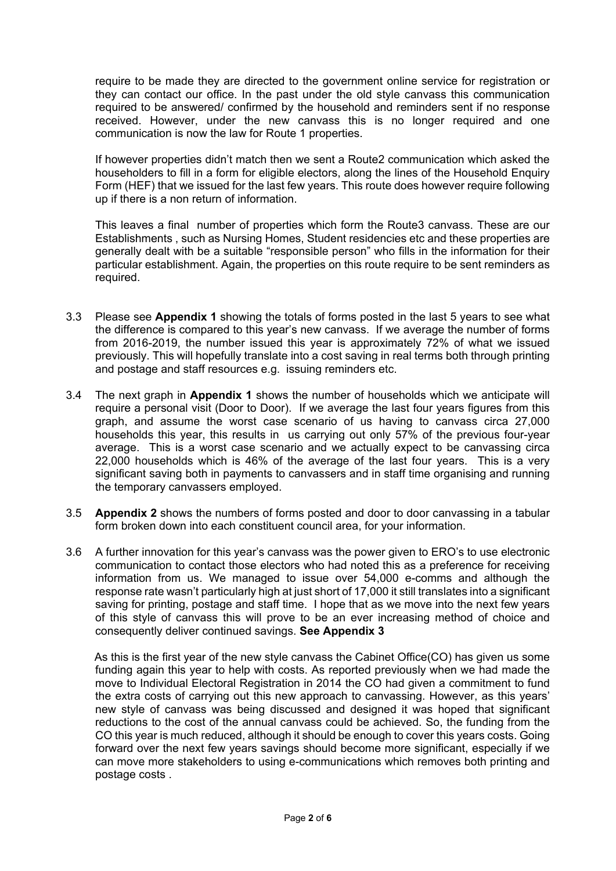require to be made they are directed to the government online service for registration or they can contact our office. In the past under the old style canvass this communication required to be answered/ confirmed by the household and reminders sent if no response received. However, under the new canvass this is no longer required and one communication is now the law for Route 1 properties.

If however properties didn't match then we sent a Route2 communication which asked the householders to fill in a form for eligible electors, along the lines of the Household Enquiry Form (HEF) that we issued for the last few years. This route does however require following up if there is a non return of information.

This leaves a final number of properties which form the Route3 canvass. These are our Establishments , such as Nursing Homes, Student residencies etc and these properties are generally dealt with be a suitable "responsible person" who fills in the information for their particular establishment. Again, the properties on this route require to be sent reminders as required.

- 3.3 Please see **Appendix 1** showing the totals of forms posted in the last 5 years to see what the difference is compared to this year's new canvass. If we average the number of forms from 2016-2019, the number issued this year is approximately 72% of what we issued previously. This will hopefully translate into a cost saving in real terms both through printing and postage and staff resources e.g. issuing reminders etc.
- 3.4 The next graph in **Appendix 1** shows the number of households which we anticipate will require a personal visit (Door to Door). If we average the last four years figures from this graph, and assume the worst case scenario of us having to canvass circa 27,000 households this year, this results in us carrying out only 57% of the previous four-year average. This is a worst case scenario and we actually expect to be canvassing circa 22,000 households which is 46% of the average of the last four years. This is a very significant saving both in payments to canvassers and in staff time organising and running the temporary canvassers employed.
- 3.5 **Appendix 2** shows the numbers of forms posted and door to door canvassing in a tabular form broken down into each constituent council area, for your information.
- 3.6 A further innovation for this year's canvass was the power given to ERO's to use electronic communication to contact those electors who had noted this as a preference for receiving information from us. We managed to issue over 54,000 e-comms and although the response rate wasn't particularly high at just short of 17,000 it still translates into a significant saving for printing, postage and staff time. I hope that as we move into the next few years of this style of canvass this will prove to be an ever increasing method of choice and consequently deliver continued savings. **See Appendix 3**

 As this is the first year of the new style canvass the Cabinet Office(CO) has given us some funding again this year to help with costs. As reported previously when we had made the move to Individual Electoral Registration in 2014 the CO had given a commitment to fund the extra costs of carrying out this new approach to canvassing. However, as this years' new style of canvass was being discussed and designed it was hoped that significant reductions to the cost of the annual canvass could be achieved. So, the funding from the CO this year is much reduced, although it should be enough to cover this years costs. Going forward over the next few years savings should become more significant, especially if we can move more stakeholders to using e-communications which removes both printing and postage costs .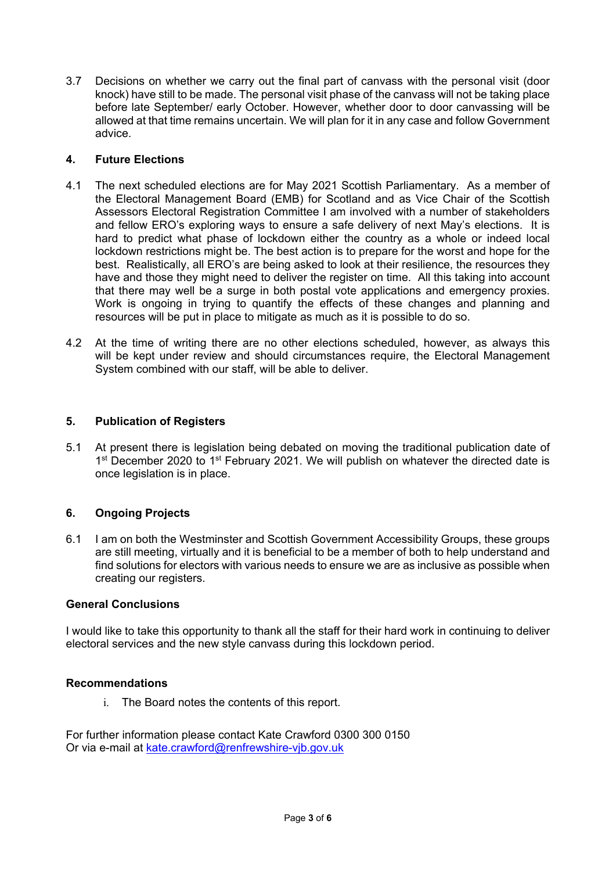3.7 Decisions on whether we carry out the final part of canvass with the personal visit (door knock) have still to be made. The personal visit phase of the canvass will not be taking place before late September/ early October. However, whether door to door canvassing will be allowed at that time remains uncertain. We will plan for it in any case and follow Government advice.

## **4. Future Elections**

- 4.1 The next scheduled elections are for May 2021 Scottish Parliamentary. As a member of the Electoral Management Board (EMB) for Scotland and as Vice Chair of the Scottish Assessors Electoral Registration Committee I am involved with a number of stakeholders and fellow ERO's exploring ways to ensure a safe delivery of next May's elections. It is hard to predict what phase of lockdown either the country as a whole or indeed local lockdown restrictions might be. The best action is to prepare for the worst and hope for the best. Realistically, all ERO's are being asked to look at their resilience, the resources they have and those they might need to deliver the register on time. All this taking into account that there may well be a surge in both postal vote applications and emergency proxies. Work is ongoing in trying to quantify the effects of these changes and planning and resources will be put in place to mitigate as much as it is possible to do so.
- 4.2 At the time of writing there are no other elections scheduled, however, as always this will be kept under review and should circumstances require, the Electoral Management System combined with our staff, will be able to deliver.

## **5. Publication of Registers**

5.1 At present there is legislation being debated on moving the traditional publication date of 1<sup>st</sup> December 2020 to 1<sup>st</sup> February 2021. We will publish on whatever the directed date is once legislation is in place.

## **6. Ongoing Projects**

6.1 I am on both the Westminster and Scottish Government Accessibility Groups, these groups are still meeting, virtually and it is beneficial to be a member of both to help understand and find solutions for electors with various needs to ensure we are as inclusive as possible when creating our registers.

## **General Conclusions**

I would like to take this opportunity to thank all the staff for their hard work in continuing to deliver electoral services and the new style canvass during this lockdown period.

#### **Recommendations**

i. The Board notes the contents of this report.

For further information please contact Kate Crawford 0300 300 0150 Or via e-mail at kate.crawford@renfrewshire-vjb.gov.uk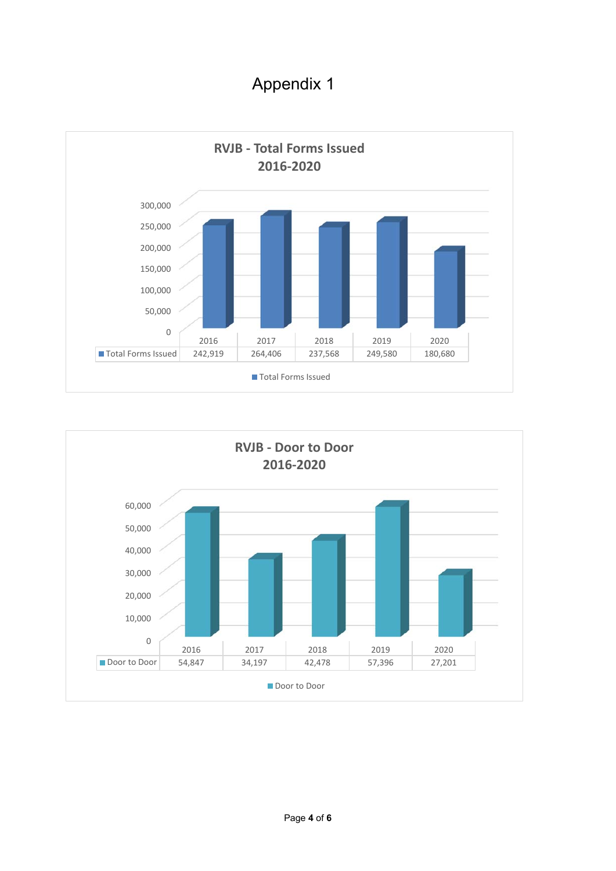Appendix 1



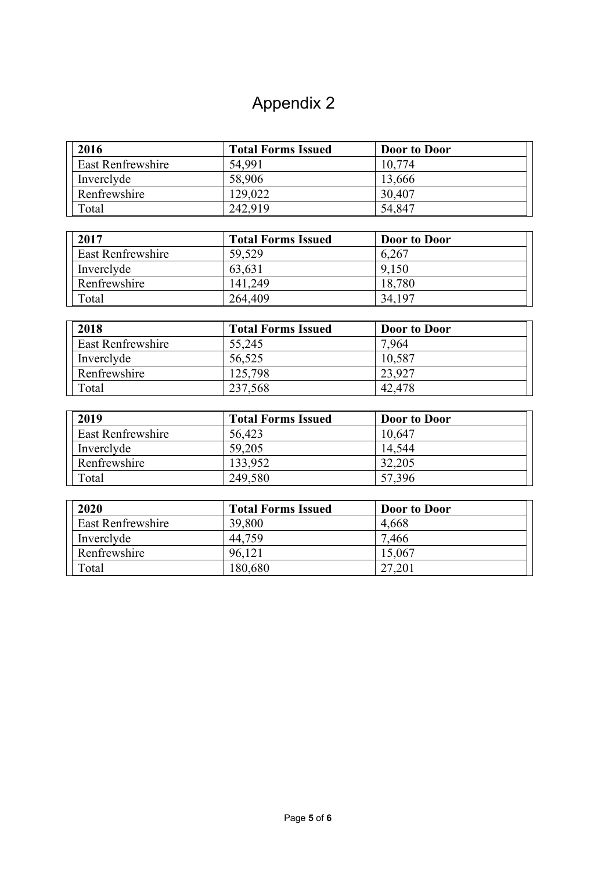# Appendix 2

| 2016              | <b>Total Forms Issued</b> | <b>Door to Door</b> |
|-------------------|---------------------------|---------------------|
| East Renfrewshire | 54,991                    | 10.774              |
| Inverclyde        | 58,906                    | 13,666              |
| Renfrewshire      | 129,022                   | 30,407              |
| Total             | 242,919                   | 54,847              |

| 2017                     | <b>Total Forms Issued</b> | <b>Door to Door</b> |
|--------------------------|---------------------------|---------------------|
| <b>East Renfrewshire</b> | 59,529                    | 6,267               |
| Inverclyde               | 63,631                    | 9.150               |
| Renfrewshire             | 141.249                   | 18,780              |
| Total                    | 264,409                   | 34,197              |

| 2018                     | <b>Total Forms Issued</b> | Door to Door |
|--------------------------|---------------------------|--------------|
| <b>East Renfrewshire</b> | 55,245                    | 7.964        |
| Inverclyde               | 56,525                    | 10,587       |
| Renfrewshire             | 125,798                   | 23,927       |
| Total                    | 237,568                   | 42,478       |

| 2019              | <b>Total Forms Issued</b> | <b>Door to Door</b> |
|-------------------|---------------------------|---------------------|
| East Renfrewshire | 56,423                    | 10,647              |
| Inverclyde        | 59,205                    | 14.544              |
| Renfrewshire      | 133,952                   | 32,205              |
| Total             | 249,580                   | 57,396              |

| 2020              | <b>Total Forms Issued</b> | <b>Door to Door</b> |
|-------------------|---------------------------|---------------------|
| East Renfrewshire | 39,800                    | 4,668               |
| Inverclyde        | 44,759                    | 7,466               |
| Renfrewshire      | 96,121                    | 15,067              |
| Total             | 180,680                   | 27,201              |